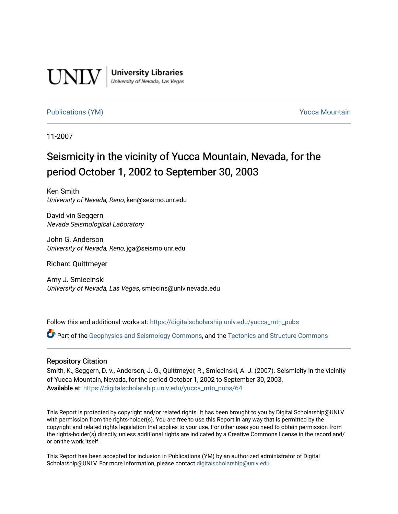

**University Libraries**<br>University of Nevada, Las Vegas

#### [Publications \(YM\)](https://digitalscholarship.unlv.edu/yucca_mtn_pubs) **Publications (YM) Publications (YM) Publications** (*YM*)

11-2007

# Seismicity in the vicinity of Yucca Mountain, Nevada, for the period October 1, 2002 to September 30, 2003

Ken Smith University of Nevada, Reno, ken@seismo.unr.edu

David vin Seggern Nevada Seismological Laboratory

John G. Anderson University of Nevada, Reno, jga@seismo.unr.edu

Richard Quittmeyer

Amy J. Smiecinski University of Nevada, Las Vegas, smiecins@unlv.nevada.edu

Follow this and additional works at: [https://digitalscholarship.unlv.edu/yucca\\_mtn\\_pubs](https://digitalscholarship.unlv.edu/yucca_mtn_pubs?utm_source=digitalscholarship.unlv.edu%2Fyucca_mtn_pubs%2F64&utm_medium=PDF&utm_campaign=PDFCoverPages)

Part of the [Geophysics and Seismology Commons,](http://network.bepress.com/hgg/discipline/158?utm_source=digitalscholarship.unlv.edu%2Fyucca_mtn_pubs%2F64&utm_medium=PDF&utm_campaign=PDFCoverPages) and the [Tectonics and Structure Commons](http://network.bepress.com/hgg/discipline/164?utm_source=digitalscholarship.unlv.edu%2Fyucca_mtn_pubs%2F64&utm_medium=PDF&utm_campaign=PDFCoverPages) 

#### Repository Citation

Smith, K., Seggern, D. v., Anderson, J. G., Quittmeyer, R., Smiecinski, A. J. (2007). Seismicity in the vicinity of Yucca Mountain, Nevada, for the period October 1, 2002 to September 30, 2003. Available at: [https://digitalscholarship.unlv.edu/yucca\\_mtn\\_pubs/64](https://digitalscholarship.unlv.edu/yucca_mtn_pubs/64) 

This Report is protected by copyright and/or related rights. It has been brought to you by Digital Scholarship@UNLV with permission from the rights-holder(s). You are free to use this Report in any way that is permitted by the copyright and related rights legislation that applies to your use. For other uses you need to obtain permission from the rights-holder(s) directly, unless additional rights are indicated by a Creative Commons license in the record and/ or on the work itself.

This Report has been accepted for inclusion in Publications (YM) by an authorized administrator of Digital Scholarship@UNLV. For more information, please contact [digitalscholarship@unlv.edu.](mailto:digitalscholarship@unlv.edu)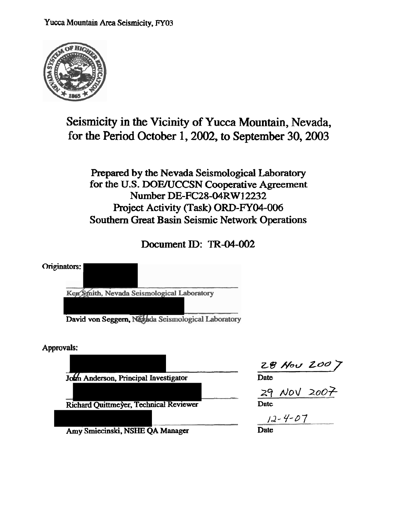

# **Seismicity in the Vicinity of Yucca Mountain, Nevada, for the Period October 1,2002, to September 30,2003**

## Prepared by the Nevada Seismological Laboratory for the U.S. DOE/UCCSN Cooperative Agreement **Number DE-FC28-04RW 12232 Project Activity (Task)** ORD-FY04-006 **Southern Great Basin Seismic Network Operations**

# **Document ID: TR-04-002**



**Approvals:** 

**John Anderson, Principal Investigator** 

 $Richard$  *Quittmeyer, Technical Reviewer* Date

my' **Smiecinski. NSHE QA Manager Date** 

**ZB** Nor/ **Zbo** 7

<u>z9 Nov 2007</u>

*la-* 9-97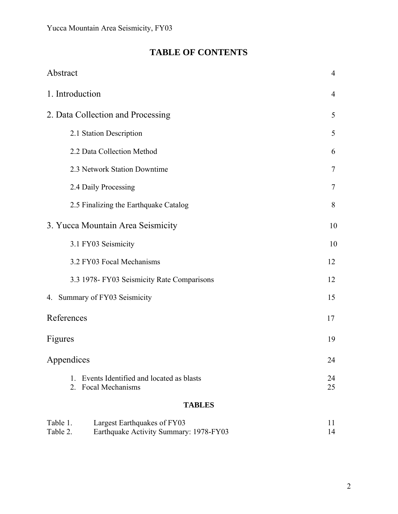# **TABLE OF CONTENTS**

| 1. Introduction                                                              | $\overline{4}$ |  |  |  |  |
|------------------------------------------------------------------------------|----------------|--|--|--|--|
| 2. Data Collection and Processing                                            |                |  |  |  |  |
| 2.1 Station Description                                                      | 5              |  |  |  |  |
| 2.2 Data Collection Method                                                   | 6              |  |  |  |  |
| 2.3 Network Station Downtime                                                 | $\overline{7}$ |  |  |  |  |
| 2.4 Daily Processing                                                         | 7              |  |  |  |  |
| 2.5 Finalizing the Earthquake Catalog                                        | 8              |  |  |  |  |
| 3. Yucca Mountain Area Seismicity                                            | 10             |  |  |  |  |
| 3.1 FY03 Seismicity                                                          | 10             |  |  |  |  |
| 3.2 FY03 Focal Mechanisms                                                    | 12             |  |  |  |  |
| 3.3 1978- FY03 Seismicity Rate Comparisons                                   | 12             |  |  |  |  |
| 4. Summary of FY03 Seismicity                                                | 15             |  |  |  |  |
| References                                                                   | 17             |  |  |  |  |
| Figures                                                                      | 19             |  |  |  |  |
| Appendices                                                                   | 24             |  |  |  |  |
| Events Identified and located as blasts<br>$1_{-}$<br>Focal Mechanisms<br>2. | 24<br>25       |  |  |  |  |
| <b>TABLES</b>                                                                |                |  |  |  |  |

| Table 1. | Largest Earthquakes of FY03            |    |
|----------|----------------------------------------|----|
| Table 2. | Earthquake Activity Summary: 1978-FY03 | 14 |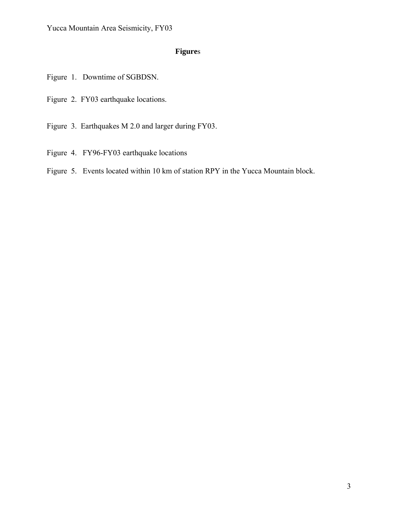### **Figure**s

Figure 1. Downtime of SGBDSN.

Figure 2. FY03 earthquake locations.

Figure 3. Earthquakes M 2.0 and larger during FY03.

Figure 4. FY96-FY03 earthquake locations

Figure 5. Events located within 10 km of station RPY in the Yucca Mountain block.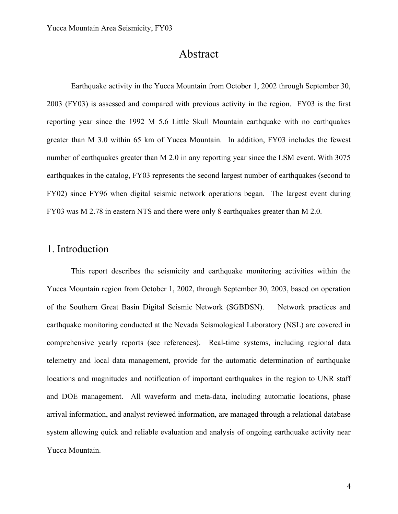## Abstract

Earthquake activity in the Yucca Mountain from October 1, 2002 through September 30, 2003 (FY03) is assessed and compared with previous activity in the region. FY03 is the first reporting year since the 1992 M 5.6 Little Skull Mountain earthquake with no earthquakes greater than M 3.0 within 65 km of Yucca Mountain. In addition, FY03 includes the fewest number of earthquakes greater than M 2.0 in any reporting year since the LSM event. With 3075 earthquakes in the catalog, FY03 represents the second largest number of earthquakes (second to FY02) since FY96 when digital seismic network operations began. The largest event during FY03 was M 2.78 in eastern NTS and there were only 8 earthquakes greater than M 2.0.

## 1. Introduction

This report describes the seismicity and earthquake monitoring activities within the Yucca Mountain region from October 1, 2002, through September 30, 2003, based on operation of the Southern Great Basin Digital Seismic Network (SGBDSN). Network practices and earthquake monitoring conducted at the Nevada Seismological Laboratory (NSL) are covered in comprehensive yearly reports (see references). Real-time systems, including regional data telemetry and local data management, provide for the automatic determination of earthquake locations and magnitudes and notification of important earthquakes in the region to UNR staff and DOE management. All waveform and meta-data, including automatic locations, phase arrival information, and analyst reviewed information, are managed through a relational database system allowing quick and reliable evaluation and analysis of ongoing earthquake activity near Yucca Mountain.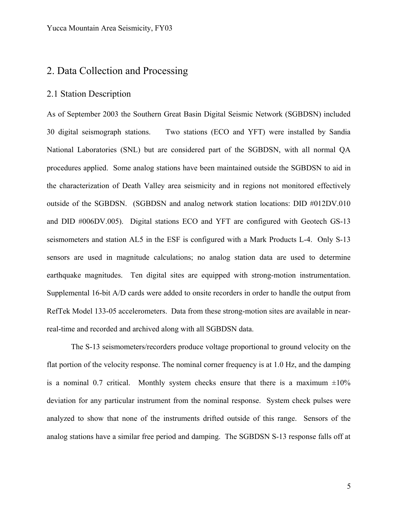### 2. Data Collection and Processing

#### 2.1 Station Description

As of September 2003 the Southern Great Basin Digital Seismic Network (SGBDSN) included 30 digital seismograph stations. Two stations (ECO and YFT) were installed by Sandia National Laboratories (SNL) but are considered part of the SGBDSN, with all normal QA procedures applied. Some analog stations have been maintained outside the SGBDSN to aid in the characterization of Death Valley area seismicity and in regions not monitored effectively outside of the SGBDSN. (SGBDSN and analog network station locations: DID #012DV.010 and DID #006DV.005). Digital stations ECO and YFT are configured with Geotech GS-13 seismometers and station AL5 in the ESF is configured with a Mark Products L-4. Only S-13 sensors are used in magnitude calculations; no analog station data are used to determine earthquake magnitudes. Ten digital sites are equipped with strong-motion instrumentation. Supplemental 16-bit A/D cards were added to onsite recorders in order to handle the output from RefTek Model 133-05 accelerometers. Data from these strong-motion sites are available in nearreal-time and recorded and archived along with all SGBDSN data.

The S-13 seismometers/recorders produce voltage proportional to ground velocity on the flat portion of the velocity response. The nominal corner frequency is at 1.0 Hz, and the damping is a nominal 0.7 critical. Monthly system checks ensure that there is a maximum  $\pm 10\%$ deviation for any particular instrument from the nominal response. System check pulses were analyzed to show that none of the instruments drifted outside of this range. Sensors of the analog stations have a similar free period and damping. The SGBDSN S-13 response falls off at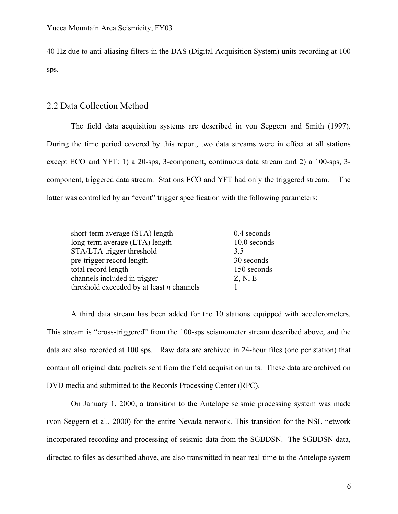40 Hz due to anti-aliasing filters in the DAS (Digital Acquisition System) units recording at 100 sps.

#### 2.2 Data Collection Method

The field data acquisition systems are described in von Seggern and Smith (1997). During the time period covered by this report, two data streams were in effect at all stations except ECO and YFT: 1) a 20-sps, 3-component, continuous data stream and 2) a 100-sps, 3 component, triggered data stream. Stations ECO and YFT had only the triggered stream. The latter was controlled by an "event" trigger specification with the following parameters:

| short-term average (STA) length             | 0.4 seconds  |
|---------------------------------------------|--------------|
| long-term average (LTA) length              | 10.0 seconds |
| STA/LTA trigger threshold                   | 3.5          |
| pre-trigger record length                   | 30 seconds   |
| total record length                         | 150 seconds  |
| channels included in trigger                | Z, N, E      |
| threshold exceeded by at least $n$ channels |              |

A third data stream has been added for the 10 stations equipped with accelerometers. This stream is "cross-triggered" from the 100-sps seismometer stream described above, and the data are also recorded at 100 sps. Raw data are archived in 24-hour files (one per station) that contain all original data packets sent from the field acquisition units. These data are archived on DVD media and submitted to the Records Processing Center (RPC).

On January 1, 2000, a transition to the Antelope seismic processing system was made (von Seggern et al., 2000) for the entire Nevada network. This transition for the NSL network incorporated recording and processing of seismic data from the SGBDSN. The SGBDSN data, directed to files as described above, are also transmitted in near-real-time to the Antelope system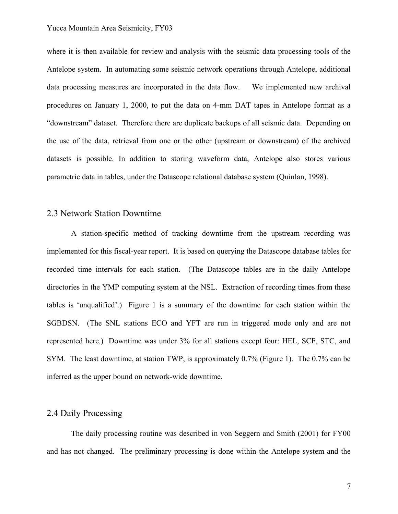#### Yucca Mountain Area Seismicity, FY03

where it is then available for review and analysis with the seismic data processing tools of the Antelope system. In automating some seismic network operations through Antelope, additional data processing measures are incorporated in the data flow. We implemented new archival procedures on January 1, 2000, to put the data on 4-mm DAT tapes in Antelope format as a "downstream" dataset. Therefore there are duplicate backups of all seismic data. Depending on the use of the data, retrieval from one or the other (upstream or downstream) of the archived datasets is possible. In addition to storing waveform data, Antelope also stores various parametric data in tables, under the Datascope relational database system (Quinlan, 1998).

#### 2.3 Network Station Downtime

A station-specific method of tracking downtime from the upstream recording was implemented for this fiscal-year report. It is based on querying the Datascope database tables for recorded time intervals for each station. (The Datascope tables are in the daily Antelope directories in the YMP computing system at the NSL. Extraction of recording times from these tables is 'unqualified'.) Figure 1 is a summary of the downtime for each station within the SGBDSN. (The SNL stations ECO and YFT are run in triggered mode only and are not represented here.) Downtime was under 3% for all stations except four: HEL, SCF, STC, and SYM. The least downtime, at station TWP, is approximately 0.7% (Figure 1). The 0.7% can be inferred as the upper bound on network-wide downtime.

### 2.4 Daily Processing

The daily processing routine was described in von Seggern and Smith (2001) for FY00 and has not changed. The preliminary processing is done within the Antelope system and the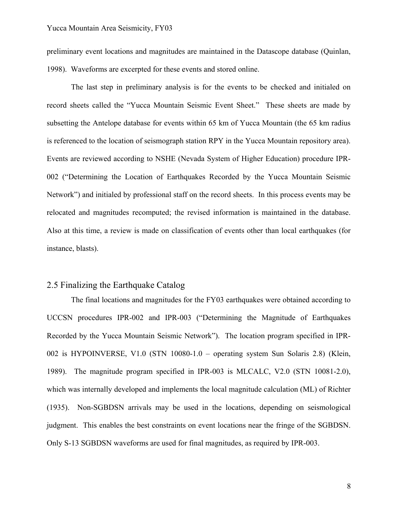preliminary event locations and magnitudes are maintained in the Datascope database (Quinlan, 1998). Waveforms are excerpted for these events and stored online.

The last step in preliminary analysis is for the events to be checked and initialed on record sheets called the "Yucca Mountain Seismic Event Sheet." These sheets are made by subsetting the Antelope database for events within 65 km of Yucca Mountain (the 65 km radius is referenced to the location of seismograph station RPY in the Yucca Mountain repository area). Events are reviewed according to NSHE (Nevada System of Higher Education) procedure IPR-002 ("Determining the Location of Earthquakes Recorded by the Yucca Mountain Seismic Network") and initialed by professional staff on the record sheets. In this process events may be relocated and magnitudes recomputed; the revised information is maintained in the database. Also at this time, a review is made on classification of events other than local earthquakes (for instance, blasts).

#### 2.5 Finalizing the Earthquake Catalog

The final locations and magnitudes for the FY03 earthquakes were obtained according to UCCSN procedures IPR-002 and IPR-003 ("Determining the Magnitude of Earthquakes Recorded by the Yucca Mountain Seismic Network"). The location program specified in IPR-002 is HYPOINVERSE, V1.0 (STN 10080-1.0 – operating system Sun Solaris 2.8) (Klein, 1989). The magnitude program specified in IPR-003 is MLCALC, V2.0 (STN 10081-2.0), which was internally developed and implements the local magnitude calculation (ML) of Richter (1935). Non-SGBDSN arrivals may be used in the locations, depending on seismological judgment. This enables the best constraints on event locations near the fringe of the SGBDSN. Only S-13 SGBDSN waveforms are used for final magnitudes, as required by IPR-003.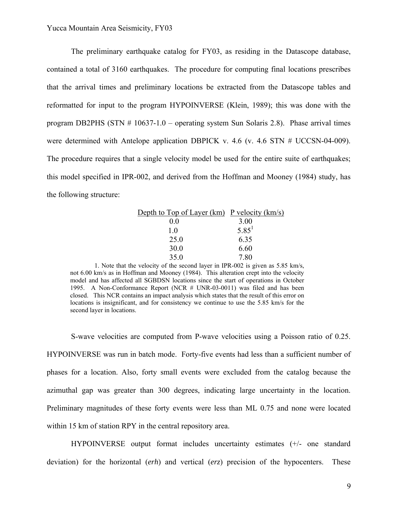The preliminary earthquake catalog for FY03, as residing in the Datascope database, contained a total of 3160 earthquakes. The procedure for computing final locations prescribes that the arrival times and preliminary locations be extracted from the Datascope tables and reformatted for input to the program HYPOINVERSE (Klein, 1989); this was done with the program DB2PHS (STN # 10637-1.0 – operating system Sun Solaris 2.8). Phase arrival times were determined with Antelope application DBPICK v. 4.6 (v. 4.6 STN # UCCSN-04-009). The procedure requires that a single velocity model be used for the entire suite of earthquakes; this model specified in IPR-002, and derived from the Hoffman and Mooney (1984) study, has the following structure:

| Depth to Top of Layer (km) P velocity (km/s) |                   |
|----------------------------------------------|-------------------|
| 00                                           | 3.00              |
| 10                                           | 5.85 <sup>1</sup> |
| 25.0                                         | 6.35              |
| 30.0                                         | 6.60              |
| 35.0                                         | 7.80              |

1. Note that the velocity of the second layer in IPR-002 is given as 5.85 km/s, not 6.00 km/s as in Hoffman and Mooney (1984). This alteration crept into the velocity model and has affected all SGBDSN locations since the start of operations in October 1995. A Non-Conformance Report (NCR # UNR-03-0011) was filed and has been closed. This NCR contains an impact analysis which states that the result of this error on locations is insignificant, and for consistency we continue to use the 5.85 km/s for the second layer in locations.

S-wave velocities are computed from P-wave velocities using a Poisson ratio of 0.25. HYPOINVERSE was run in batch mode. Forty-five events had less than a sufficient number of phases for a location. Also, forty small events were excluded from the catalog because the azimuthal gap was greater than 300 degrees, indicating large uncertainty in the location. Preliminary magnitudes of these forty events were less than ML 0.75 and none were located within 15 km of station RPY in the central repository area.

HYPOINVERSE output format includes uncertainty estimates (+/- one standard deviation) for the horizontal (*erh*) and vertical (*erz*) precision of the hypocenters. These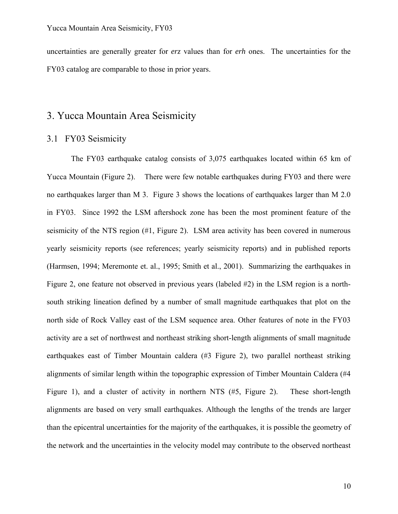uncertainties are generally greater for *erz* values than for *erh* ones. The uncertainties for the FY03 catalog are comparable to those in prior years.

## 3. Yucca Mountain Area Seismicity

#### 3.1 FY03 Seismicity

The FY03 earthquake catalog consists of 3,075 earthquakes located within 65 km of Yucca Mountain (Figure 2). There were few notable earthquakes during FY03 and there were no earthquakes larger than M 3. Figure 3 shows the locations of earthquakes larger than M 2.0 in FY03. Since 1992 the LSM aftershock zone has been the most prominent feature of the seismicity of the NTS region (#1, Figure 2). LSM area activity has been covered in numerous yearly seismicity reports (see references; yearly seismicity reports) and in published reports (Harmsen, 1994; Meremonte et. al., 1995; Smith et al., 2001). Summarizing the earthquakes in Figure 2, one feature not observed in previous years (labeled #2) in the LSM region is a northsouth striking lineation defined by a number of small magnitude earthquakes that plot on the north side of Rock Valley east of the LSM sequence area. Other features of note in the FY03 activity are a set of northwest and northeast striking short-length alignments of small magnitude earthquakes east of Timber Mountain caldera (#3 Figure 2), two parallel northeast striking alignments of similar length within the topographic expression of Timber Mountain Caldera (#4 Figure 1), and a cluster of activity in northern NTS (#5, Figure 2). These short-length alignments are based on very small earthquakes. Although the lengths of the trends are larger than the epicentral uncertainties for the majority of the earthquakes, it is possible the geometry of the network and the uncertainties in the velocity model may contribute to the observed northeast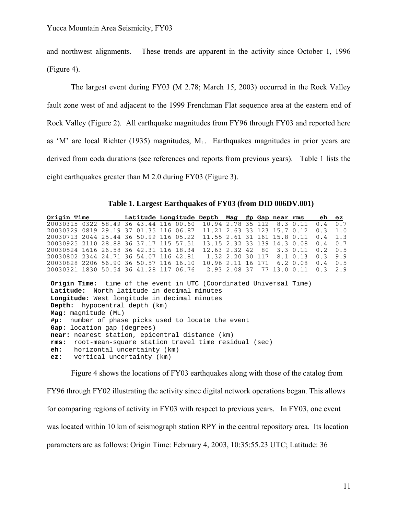and northwest alignments. These trends are apparent in the activity since October 1, 1996 (Figure 4).

The largest event during FY03 (M 2.78; March 15, 2003) occurred in the Rock Valley fault zone west of and adjacent to the 1999 Frenchman Flat sequence area at the eastern end of Rock Valley (Figure 2). All earthquake magnitudes from FY96 through FY03 and reported here as 'M' are local Richter (1935) magnitudes,  $M<sub>L</sub>$ . Earthquakes magnitudes in prior years are derived from coda durations (see references and reports from previous years). Table 1 lists the eight earthquakes greater than M 2.0 during FY03 (Figure 3).

**Table 1. Largest Earthquakes of FY03 (from DID 006DV.001)** 

| Origin Time                                                                                                                                                                                                                                                                                                                                                                                                                                                                                                                                                                       |             | Latitude Longitude Depth |            | Mag  |    |     | #p Gap near rms |               | eh  | ez  |
|-----------------------------------------------------------------------------------------------------------------------------------------------------------------------------------------------------------------------------------------------------------------------------------------------------------------------------------------------------------------------------------------------------------------------------------------------------------------------------------------------------------------------------------------------------------------------------------|-------------|--------------------------|------------|------|----|-----|-----------------|---------------|-----|-----|
| 20030315 0322 58.49 36 43.44 116 00.60                                                                                                                                                                                                                                                                                                                                                                                                                                                                                                                                            |             |                          | 10.94 2.78 |      | 35 | 112 |                 | 8.3 0.11      | 0.4 | 0.7 |
| 0819<br>29.19<br>20030329                                                                                                                                                                                                                                                                                                                                                                                                                                                                                                                                                         | 01.35<br>37 | 116<br>06.87             | 11.21      | 2.63 | スス | 123 | 15.7            | 0.12          | 0.3 | 1.0 |
| 20030713 2044 25.44 36 50.99                                                                                                                                                                                                                                                                                                                                                                                                                                                                                                                                                      |             | 116 05.22                | 11.55      | 2.61 | 31 | 161 | 15.8 0.11       |               | 0.4 | 1.3 |
| 28.88<br>20030925 2110                                                                                                                                                                                                                                                                                                                                                                                                                                                                                                                                                            | 36 37.17    | 57.51<br>115             | 13.15      | 2.32 | 33 | 139 | 14.3            | 0.08          | 0.4 | 0.7 |
| 26.58.36<br>20030524 1616                                                                                                                                                                                                                                                                                                                                                                                                                                                                                                                                                         | 42.31       | 116<br>18.34             | 12.63      | 2.32 | 42 | 80  |                 | 3.3 0.11      | 0.2 | 0.5 |
| 20030802 2344 24.71 36 54.07                                                                                                                                                                                                                                                                                                                                                                                                                                                                                                                                                      |             | 116<br>42.81             | 1.32 2.20  |      | 30 | 117 |                 | 8.1 0.13      | 0.3 | 9.9 |
| 20030828 2206 56.90 36 50.57 116                                                                                                                                                                                                                                                                                                                                                                                                                                                                                                                                                  |             | 16.10                    | 10.96 2.11 |      | 16 | 171 |                 | $6.2 \, 0.08$ | 0.4 | 0.5 |
| 20030321 1830                                                                                                                                                                                                                                                                                                                                                                                                                                                                                                                                                                     |             |                          |            |      | 37 | 77  |                 |               | 0.3 | 2.9 |
| 50.54 36 41.28 117 06.76<br>2.93 2.08<br>13.0 0.11<br><b>Origin Time:</b> time of the event in UTC (Coordinated Universal Time)<br>Latitude: North latitude in decimal minutes<br>Longitude: West longitude in decimal minutes<br><b>Depth:</b> hypocentral depth (km)<br>Mag: magnitude (ML)<br>number of phase picks used to locate the event<br>#p:<br>Gap: location gap (degrees)<br>near: nearest station, epicentral distance (km)<br>root-mean-square station travel time residual (sec)<br>rms:<br>horizontal uncertainty (km)<br>eh:<br>vertical uncertainty (km)<br>ez: |             |                          |            |      |    |     |                 |               |     |     |

Figure 4 shows the locations of FY03 earthquakes along with those of the catalog from FY96 through FY02 illustrating the activity since digital network operations began. This allows for comparing regions of activity in FY03 with respect to previous years. In FY03, one event was located within 10 km of seismograph station RPY in the central repository area. Its location parameters are as follows: Origin Time: February 4, 2003, 10:35:55.23 UTC; Latitude: 36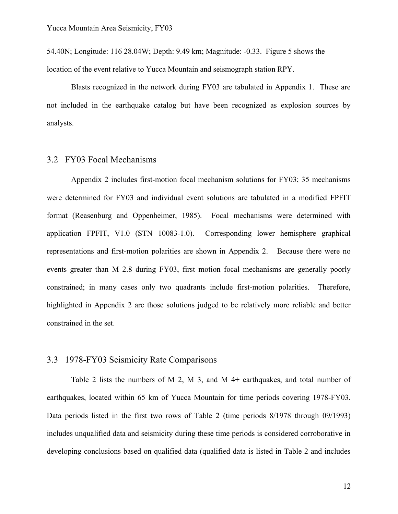54.40N; Longitude: 116 28.04W; Depth: 9.49 km; Magnitude: -0.33. Figure 5 shows the location of the event relative to Yucca Mountain and seismograph station RPY.

Blasts recognized in the network during FY03 are tabulated in Appendix 1. These are not included in the earthquake catalog but have been recognized as explosion sources by analysts.

#### 3.2 FY03 Focal Mechanisms

Appendix 2 includes first-motion focal mechanism solutions for FY03; 35 mechanisms were determined for FY03 and individual event solutions are tabulated in a modified FPFIT format (Reasenburg and Oppenheimer, 1985). Focal mechanisms were determined with application FPFIT, V1.0 (STN 10083-1.0). Corresponding lower hemisphere graphical representations and first-motion polarities are shown in Appendix 2. Because there were no events greater than M 2.8 during FY03, first motion focal mechanisms are generally poorly constrained; in many cases only two quadrants include first-motion polarities. Therefore, highlighted in Appendix 2 are those solutions judged to be relatively more reliable and better constrained in the set.

#### 3.3 1978-FY03 Seismicity Rate Comparisons

Table 2 lists the numbers of M 2, M 3, and M 4+ earthquakes, and total number of earthquakes, located within 65 km of Yucca Mountain for time periods covering 1978-FY03. Data periods listed in the first two rows of Table 2 (time periods 8/1978 through 09/1993) includes unqualified data and seismicity during these time periods is considered corroborative in developing conclusions based on qualified data (qualified data is listed in Table 2 and includes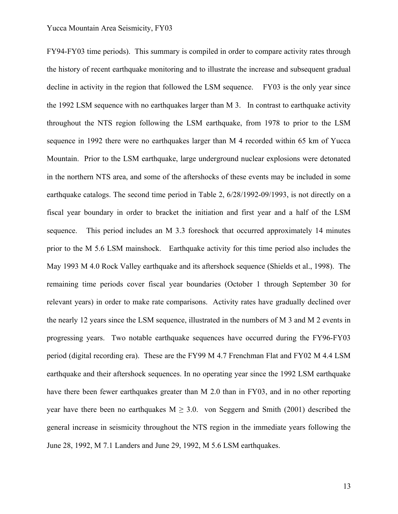#### Yucca Mountain Area Seismicity, FY03

FY94-FY03 time periods). This summary is compiled in order to compare activity rates through the history of recent earthquake monitoring and to illustrate the increase and subsequent gradual decline in activity in the region that followed the LSM sequence. FY03 is the only year since the 1992 LSM sequence with no earthquakes larger than M 3. In contrast to earthquake activity throughout the NTS region following the LSM earthquake, from 1978 to prior to the LSM sequence in 1992 there were no earthquakes larger than M 4 recorded within 65 km of Yucca Mountain. Prior to the LSM earthquake, large underground nuclear explosions were detonated in the northern NTS area, and some of the aftershocks of these events may be included in some earthquake catalogs. The second time period in Table 2, 6/28/1992-09/1993, is not directly on a fiscal year boundary in order to bracket the initiation and first year and a half of the LSM sequence. This period includes an M 3.3 foreshock that occurred approximately 14 minutes prior to the M 5.6 LSM mainshock. Earthquake activity for this time period also includes the May 1993 M 4.0 Rock Valley earthquake and its aftershock sequence (Shields et al., 1998). The remaining time periods cover fiscal year boundaries (October 1 through September 30 for relevant years) in order to make rate comparisons. Activity rates have gradually declined over the nearly 12 years since the LSM sequence, illustrated in the numbers of M 3 and M 2 events in progressing years. Two notable earthquake sequences have occurred during the FY96-FY03 period (digital recording era). These are the FY99 M 4.7 Frenchman Flat and FY02 M 4.4 LSM earthquake and their aftershock sequences. In no operating year since the 1992 LSM earthquake have there been fewer earthquakes greater than M 2.0 than in FY03, and in no other reporting year have there been no earthquakes  $M \geq 3.0$ . von Seggern and Smith (2001) described the general increase in seismicity throughout the NTS region in the immediate years following the June 28, 1992, M 7.1 Landers and June 29, 1992, M 5.6 LSM earthquakes.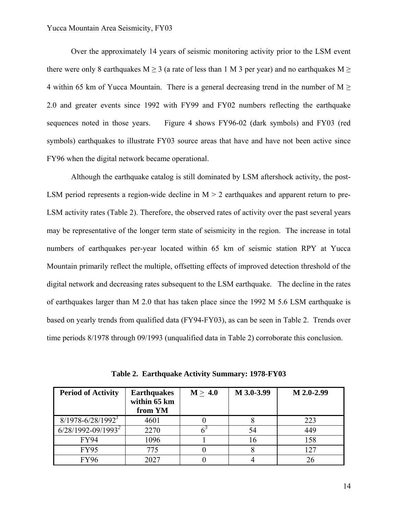Over the approximately 14 years of seismic monitoring activity prior to the LSM event there were only 8 earthquakes M  $\geq$  3 (a rate of less than 1 M 3 per year) and no earthquakes M  $\geq$ 4 within 65 km of Yucca Mountain. There is a general decreasing trend in the number of  $M \geq$ 2.0 and greater events since 1992 with FY99 and FY02 numbers reflecting the earthquake sequences noted in those years. Figure 4 shows FY96-02 (dark symbols) and FY03 (red symbols) earthquakes to illustrate FY03 source areas that have and have not been active since FY96 when the digital network became operational.

Although the earthquake catalog is still dominated by LSM aftershock activity, the post-LSM period represents a region-wide decline in  $M > 2$  earthquakes and apparent return to pre-LSM activity rates (Table 2). Therefore, the observed rates of activity over the past several years may be representative of the longer term state of seismicity in the region. The increase in total numbers of earthquakes per-year located within 65 km of seismic station RPY at Yucca Mountain primarily reflect the multiple, offsetting effects of improved detection threshold of the digital network and decreasing rates subsequent to the LSM earthquake. The decline in the rates of earthquakes larger than M 2.0 that has taken place since the 1992 M 5.6 LSM earthquake is based on yearly trends from qualified data (FY94-FY03), as can be seen in Table 2. Trends over time periods 8/1978 through 09/1993 (unqualified data in Table 2) corroborate this conclusion.

| <b>Period of Activity</b> | <b>Earthquakes</b><br>within 65 km<br>from YM | M > 4.0 | M 3.0-3.99 | M 2.0-2.99 |
|---------------------------|-----------------------------------------------|---------|------------|------------|
| $8/1978 - 6/28/1992$      | 4601                                          |         |            | 223        |
| $6/28/1992 - 09/1993^2$   | 2270                                          |         | 54         | 449        |
| <b>FY94</b>               | 1096                                          |         | 16         | 158        |
| <b>FY95</b>               | 775                                           |         |            | 127        |
| <b>FY96</b>               | 2027                                          |         |            | 26         |

**Table 2. Earthquake Activity Summary: 1978-FY03**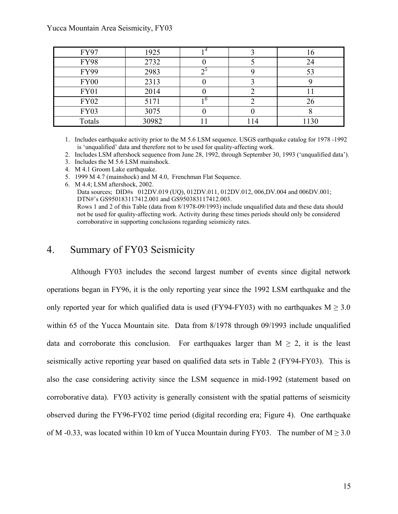#### Yucca Mountain Area Seismicity, FY03

| <b>FY97</b> | 1925  |     | 16   |
|-------------|-------|-----|------|
| <b>FY98</b> | 2732  |     | 24   |
| <b>FY99</b> | 2983  |     | 53   |
| <b>FY00</b> | 2313  |     |      |
| FY01        | 2014  |     |      |
| <b>FY02</b> | 5171  |     | 26   |
| <b>FY03</b> | 3075  |     |      |
| Totals      | 30982 | 114 | 1130 |

1. Includes earthquake activity prior to the M 5.6 LSM sequence. USGS earthquake catalog for 1978 -1992 is 'unqualified' data and therefore not to be used for quality-affecting work.

2. Includes LSM aftershock sequence from June 28, 1992, through September 30, 1993 ('unqualified data').

- 3. Includes the M 5.6 LSM mainshock.
- 4. M 4.1 Groom Lake earthquake.

5. 1999 M 4.7 (mainshock) and M 4.0, Frenchman Flat Sequence.

6. M 4.4; LSM aftershock, 2002.

Data sources; DID#s 012DV.019 (UQ), 012DV.011, 012DV.012, 006,DV.004 and 006DV.001; DTN#'s GS950183117412.001 and GS950383117412.003. Rows 1 and 2 of this Table (data from 8/1978-09/1993) include unqualified data and these data should not be used for quality-affecting work. Activity during these times periods should only be considered

corroborative in supporting conclusions regarding seismicity rates.

### 4. Summary of FY03 Seismicity

Although FY03 includes the second largest number of events since digital network operations began in FY96, it is the only reporting year since the 1992 LSM earthquake and the only reported year for which qualified data is used (FY94-FY03) with no earthquakes  $M \geq 3.0$ within 65 of the Yucca Mountain site. Data from 8/1978 through 09/1993 include unqualified data and corroborate this conclusion. For earthquakes larger than  $M \geq 2$ , it is the least seismically active reporting year based on qualified data sets in Table 2 (FY94-FY03). This is also the case considering activity since the LSM sequence in mid-1992 (statement based on corroborative data). FY03 activity is generally consistent with the spatial patterns of seismicity observed during the FY96-FY02 time period (digital recording era; Figure 4). One earthquake of M -0.33, was located within 10 km of Yucca Mountain during FY03. The number of  $M \ge 3.0$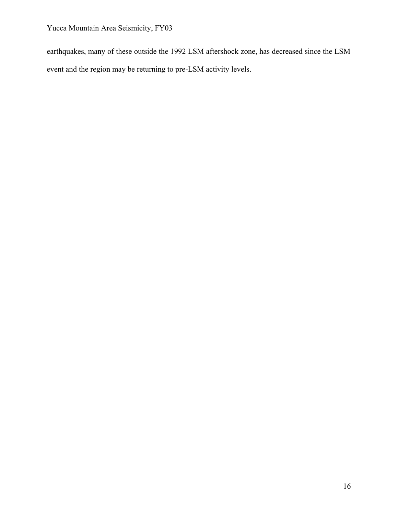Yucca Mountain Area Seismicity, FY03

earthquakes, many of these outside the 1992 LSM aftershock zone, has decreased since the LSM event and the region may be returning to pre-LSM activity levels.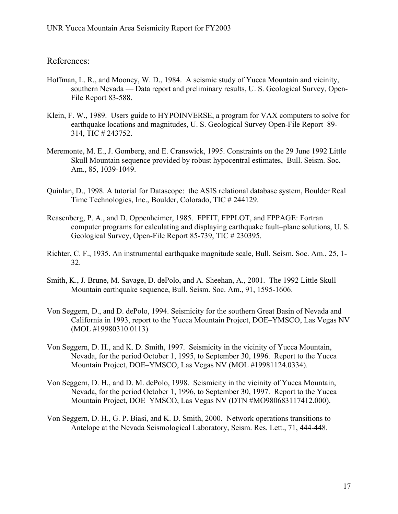References:

- Hoffman, L. R., and Mooney, W. D., 1984. A seismic study of Yucca Mountain and vicinity, southern Nevada –– Data report and preliminary results, U. S. Geological Survey, Open-File Report 83-588.
- Klein, F. W., 1989. Users guide to HYPOINVERSE, a program for VAX computers to solve for earthquake locations and magnitudes, U. S. Geological Survey Open-File Report 89- 314, TIC # 243752.
- Meremonte, M. E., J. Gomberg, and E. Cranswick, 1995. Constraints on the 29 June 1992 Little Skull Mountain sequence provided by robust hypocentral estimates, Bull. Seism. Soc. Am., 85, 1039-1049.
- Quinlan, D., 1998. A tutorial for Datascope: the ASIS relational database system, Boulder Real Time Technologies, Inc., Boulder, Colorado, TIC # 244129.
- Reasenberg, P. A., and D. Oppenheimer, 1985. FPFIT, FPPLOT, and FPPAGE: Fortran computer programs for calculating and displaying earthquake fault–plane solutions, U. S. Geological Survey, Open-File Report 85-739, TIC # 230395.
- Richter, C. F., 1935. An instrumental earthquake magnitude scale, Bull. Seism. Soc. Am., 25, 1- 32.
- Smith, K., J. Brune, M. Savage, D. dePolo, and A. Sheehan, A., 2001. The 1992 Little Skull Mountain earthquake sequence, Bull. Seism. Soc. Am., 91, 1595-1606.
- Von Seggern, D., and D. dePolo, 1994. Seismicity for the southern Great Basin of Nevada and California in 1993, report to the Yucca Mountain Project, DOE–YMSCO, Las Vegas NV (MOL #19980310.0113)
- Von Seggern, D. H., and K. D. Smith, 1997. Seismicity in the vicinity of Yucca Mountain, Nevada, for the period October 1, 1995, to September 30, 1996. Report to the Yucca Mountain Project, DOE–YMSCO, Las Vegas NV (MOL #19981124.0334).
- Von Seggern, D. H., and D. M. dePolo, 1998. Seismicity in the vicinity of Yucca Mountain, Nevada, for the period October 1, 1996, to September 30, 1997. Report to the Yucca Mountain Project, DOE–YMSCO, Las Vegas NV (DTN #MO980683117412.000).
- Von Seggern, D. H., G. P. Biasi, and K. D. Smith, 2000. Network operations transitions to Antelope at the Nevada Seismological Laboratory, Seism. Res. Lett., 71, 444-448.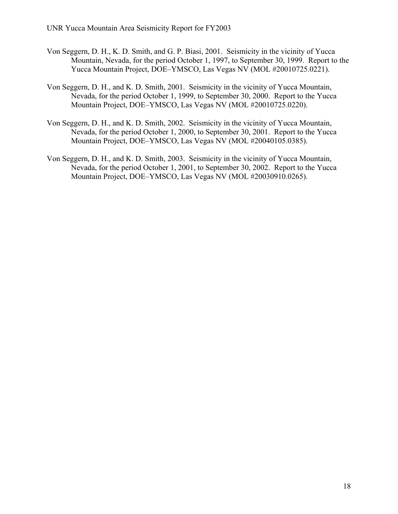- Von Seggern, D. H., K. D. Smith, and G. P. Biasi, 2001. Seismicity in the vicinity of Yucca Mountain, Nevada, for the period October 1, 1997, to September 30, 1999. Report to the Yucca Mountain Project, DOE–YMSCO, Las Vegas NV (MOL #20010725.0221).
- Von Seggern, D. H., and K. D. Smith, 2001. Seismicity in the vicinity of Yucca Mountain, Nevada, for the period October 1, 1999, to September 30, 2000. Report to the Yucca Mountain Project, DOE–YMSCO, Las Vegas NV (MOL #20010725.0220).
- Von Seggern, D. H., and K. D. Smith, 2002. Seismicity in the vicinity of Yucca Mountain, Nevada, for the period October 1, 2000, to September 30, 2001. Report to the Yucca Mountain Project, DOE–YMSCO, Las Vegas NV (MOL #20040105.0385).
- Von Seggern, D. H., and K. D. Smith, 2003. Seismicity in the vicinity of Yucca Mountain, Nevada, for the period October 1, 2001, to September 30, 2002. Report to the Yucca Mountain Project, DOE–YMSCO, Las Vegas NV (MOL #20030910.0265).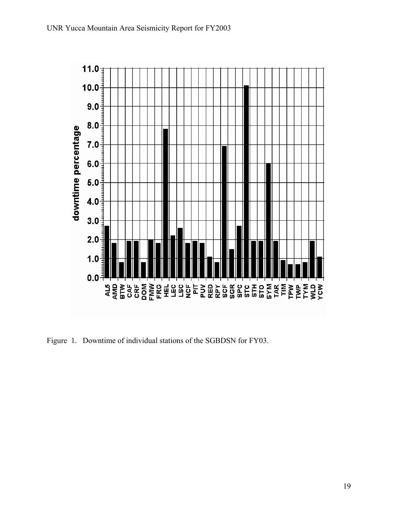

Figure 1. Downtime of individual stations of the SGBDSN for FY03.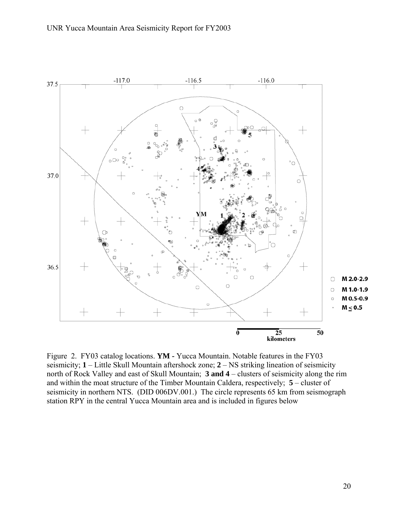

Figure 2. FY03 catalog locations. **YM -** Yucca Mountain. Notable features in the FY03 seismicity; **1** – Little Skull Mountain aftershock zone; **2** – NS striking lineation of seismicity north of Rock Valley and east of Skull Mountain; **3 and 4** – clusters of seismicity along the rim and within the moat structure of the Timber Mountain Caldera, respectively; **5** – cluster of seismicity in northern NTS. (DID 006DV.001.) The circle represents 65 km from seismograph station RPY in the central Yucca Mountain area and is included in figures below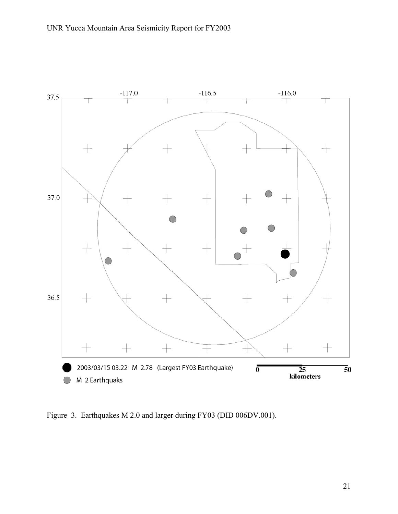

Figure 3. Earthquakes M 2.0 and larger during FY03 (DID 006DV.001).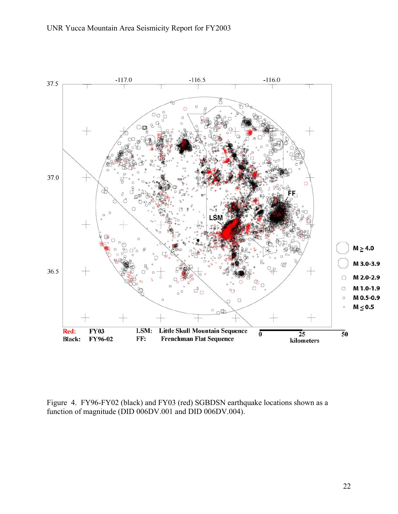

Figure 4. FY96-FY02 (black) and FY03 (red) SGBDSN earthquake locations shown as a function of magnitude (DID 006DV.001 and DID 006DV.004).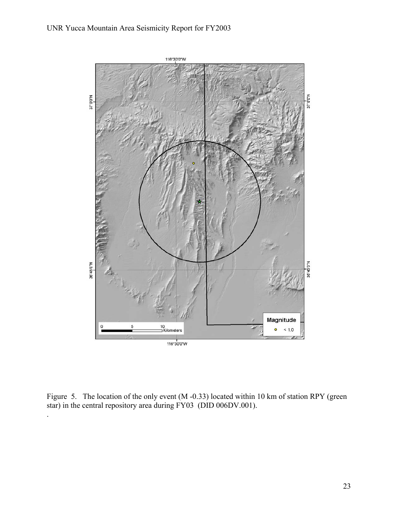#### UNR Yucca Mountain Area Seismicity Report for FY2003



Figure 5. The location of the only event (M -0.33) located within 10 km of station RPY (green star) in the central repository area during FY03 (DID 006DV.001).

.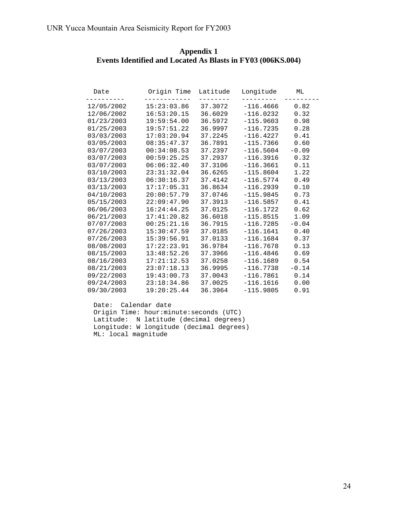| Appendix 1                                                  |  |  |  |  |  |  |  |  |
|-------------------------------------------------------------|--|--|--|--|--|--|--|--|
| Events Identified and Located As Blasts in FY03 (006KS.004) |  |  |  |  |  |  |  |  |

| Date                       | Origin Time Latitude Longitude ML<br>------------ |         | ----------       |         |
|----------------------------|---------------------------------------------------|---------|------------------|---------|
|                            | $12/05/2002$ $15:23:03.86$                        | 37.3072 | $-116.4666$      | 0.82    |
|                            | 12/06/2002  16:53:20.15  36.6029                  |         | $-116.0232$      | 0.32    |
|                            | $01/23/2003$ 19:59:54.00                          | 36.5972 | $-115.9603$      | 0.98    |
|                            | $01/25/2003$ 19:57:51.22                          | 36.9997 | $-116.7235$      | 0.28    |
|                            | $03/03/2003$ $17:03:20.94$                        | 37.2245 | $-116.4227$      | 0.41    |
|                            | $03/05/2003$ $08:35:47.37$                        | 36.7891 | $-115.7366$      | 0.60    |
|                            | $03/07/2003$ $00:34:08.53$                        | 37.2397 | $-116.5604$      | $-0.09$ |
|                            | 03/07/2003 00:59:25.25 37.2937                    |         | $-116.3916$ 0.32 |         |
|                            | $03/07/2003$ $06:06:32.40$                        | 37.3106 | $-116.3661$      | 0.11    |
|                            | 03/10/2003 23:31:32.04 36.6265                    |         | $-115.8604$      | 1.22    |
|                            | $03/13/2003$ $06:30:16.37$ $37.4142$              |         | $-116.5774$      | 0.49    |
|                            | $03/13/2003$ $17:17:05.31$                        | 36.8634 | $-116.2939$      | 0.10    |
|                            | 04/10/2003 20:00:57.79                            | 37.0746 | $-115.9845$      | 0.73    |
|                            | $05/15/2003$ $22:09:47.90$ $37.3913$              |         | $-116.5857$      | 0.41    |
| $06/06/2003$ $16:24:44.25$ |                                                   | 37.0125 | $-116.1722$      | 0.62    |
|                            | 06/21/2003 17:41:20.82 36.6018                    |         | $-115.8515$      | 1.09    |
|                            | 07/07/2003   00:25:21.16   36.7915                |         | $-116.7285$      | $-0.04$ |
|                            | 07/26/2003 15:30:47.59                            | 37.0185 | $-116.1641$      | 0.40    |
|                            | $07/26/2003$ 15:39:56.91                          | 37.0133 | $-116.1684$      | 0.37    |
|                            | 08/08/2003 17:22:23.91                            | 36.9784 | $-116.7678$      | 0.13    |
| 08/15/2003 13:48:52.26     |                                                   | 37.3966 | $-116.4846$      | 0.69    |
|                            | 08/16/2003 17:21:12.53                            | 37.0258 | $-116.1689$      | 0.54    |
|                            | 08/21/2003 23:07:18.13 36.9995                    |         | $-116.7738$      | $-0.14$ |
|                            | 09/22/2003 19:43:00.73                            | 37.0043 | $-116.7861$ 0.14 |         |
|                            | 09/24/2003 23:18:34.86 37.0025                    |         | $-116.1616$ 0.00 |         |
|                            | $09/30/2003$ $19:20:25.44$ $36.3964$              |         | $-115.9805$ 0.91 |         |

 Date: Calendar date Origin Time: hour:minute: seconds (UTC) Latitude: N latitude (decimal degrees) Longitude: W longitude (decimal degrees) ML: local magnitude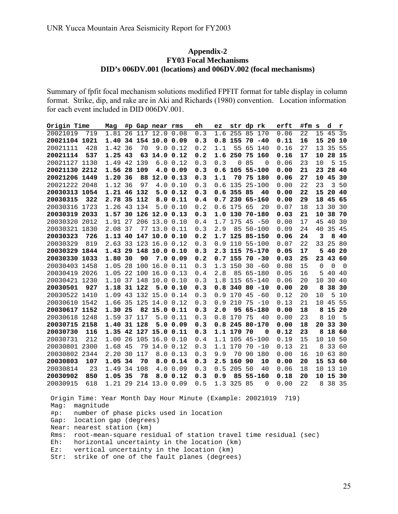#### **Appendix-2 FY03 Focal Mechanisms DID's 006DV.001 (locations) and 006DV.002 (focal mechanisms)**

Summary of fpfit focal mechanism solutions modified FPFIT format for table display in column format. Strike, dip, and rake are in Aki and Richards (1980) convention. Location information for each event included in DID 006DV.001.

| Origin Time      | Mag        | #p Gap near rms  |              |           | eh      | ez      | str       | dp rk          | erft | #fm s |             | d        | r        |
|------------------|------------|------------------|--------------|-----------|---------|---------|-----------|----------------|------|-------|-------------|----------|----------|
| 20021019<br>719  | 1.81       | 26               | 117 12.0     | 0.08      | 0.3     | 1.6     | 255       | 85<br>170      | 0.06 | 22    | 15          | 45       | 35       |
| 20021104 1021    | 1.40       | 34 154 10.0 0.09 |              |           | 0.3     |         | $0.8$ 155 | 70<br>$-40$    | 0.11 | 16    | 15          | 20       | 10       |
| 20021111<br>428  | 36<br>1.42 | 70               | 9.0          | 0.12      | 0.2     | 1.1     | 55        | 65<br>140      | 0.16 | 27    | 13          | 35       | 55       |
| 20021114<br>537  | 1.25<br>43 | 63               |              | 14.0 0.12 | 0.2     |         | 1.6 250   | 75 160         | 0.16 | 17    | 10          | 28       | 15       |
| 20021127 1130    | 1.49       | 42 139           | 6.0          | 0.12      | 0.3     | 0.3     | $\Omega$  | 85<br>$\Omega$ | 0.06 | 23    | 10          | 5        | 15       |
| 20021130 2212    | 1.56       | 28<br>109        | 4.0          | 0.09      | 0.3     | 0.6     |           | 105 55-100     | 0.00 | 21    | 23          | 28       | 40       |
| 20021206 1449    | 1.20<br>36 | 88               | 12.0         | 0.13      | 0.3     | 1.1     | 70        | 75 180         | 0.06 | 27    | 10          | 45       | 30       |
| 20021222 2048    | 1.12<br>36 | 97               | 4.0          | 0.10      | 0.3     | 0.6     | 135       | $25 - 100$     | 0.00 | 22    | 23          | 3        | 50       |
| 20030313 1054    | 1.21       | 46 132           | 5.0          | 0.12      | 0.3     | 0.6     | 355 85    | 40             | 0.00 | 22    | 15          | 20       | 40       |
| 20030315<br>322  | 2.78       | 35<br>112        | 8.0          | 0.11      | 0.4     | 0.7     |           | 230 65-160     | 0.00 | 29    | 18          | 45       | 65       |
| 1723<br>20030316 | 1.26       | 43<br>134        | 5.0          | 0.10      | 0.2     | 0.6     | 175       | 65<br>20       | 0.07 | 18    | 13          | 30       | 30       |
| 20030319 2033    | 1.57       | 30<br>126        | 12.0         | 0.13      | 0.3     | 1.0     | 130       | $70 - 180$     | 0.03 | 21    | 10          | 38       | 70       |
| 20030320<br>2012 | 1.91       | 27<br>206        | 13.0         | 0.10      | 0.4     | 1.7     | 175       | 45<br>$-50$    | 0.00 | 17    | 45          | 40       | 30       |
| 20030321<br>1830 | 2.08<br>37 | 77               | 13.0         | 0.11      | 0.3     | 2.9     | 85        | $50 - 100$     | 0.09 | 24    | 40          | 35       | 45       |
| 20030323<br>726  | 1.13       | 40<br>147        |              | 10.0 0.10 | $0.2\,$ | 1.7     |           | 125 85-150     | 0.06 | 24    | 3           | 8        | 40       |
| 20030329<br>819  | 2.63       | 33<br>123        | 16.0         | 0.12      | 0.3     | 0.9     |           | 110 55-100     | 0.07 | 22    | 33          | 25       | 80       |
| 20030329 1844    | 1.43       | 29<br>148        |              | 10.0 0.10 | 0.3     | 2.3     |           | 115 75-170     | 0.05 | 17    | 5           | 40       | 20       |
| 20030330<br>1033 | 1.80<br>30 | 90               |              | 7.00.09   | 0.2     | 0.7     | 155       | $70 - 30$      | 0.03 | 25    | 23          | 43       | 60       |
| 20030403<br>1458 | 1.05       | 28<br>100        | 16.0         | 0.11      | 0.3     | 1.3     | 150       | $30 - 60$      | 0.08 | 15    | $\mathbf 0$ | $\Omega$ | $\Omega$ |
| 20030419 2026    | 1.05       | 22<br>100        | 16.0         | 0.13      | $0.4\,$ | 2.8     | 85        | $65 - 180$     | 0.05 | 16    | 5           | 40       | 40       |
| 20030421 1230    | 1.10       | 37 148           | 10.0         | 0.10      | 0.3     | 1.8     |           | 115 65-140     | 0.06 | 20    | 10          | 30       | 40       |
| 927<br>20030501  | 1.18       | 31 122           | 5.0          | 0.10      | 0.3     | 0.8     |           | $34080 - 10$   | 0.00 | 20    | 8           | 38       | 30       |
| 20030522 1410    | 43<br>1.09 | 132              | 15.0         | 0.14      | 0.3     | 0.9     | 170       | 45<br>$-60$    | 0.12 | 20    | 10          | 5        | 10       |
| 20030610 1542    | 1.66       | 35<br>125        | 14.0         | 0.12      | 0.3     | $0.9$   | 210       | 75<br>$-10$    | 0.13 | 21    | 10          | 45       | 55       |
| 20030617 1152    | 1.30<br>25 |                  | 82 15.0 0.11 |           | 0.3     | 2.0     | 95        | 65-180         | 0.00 | 18    | 8           | 15       | 20       |
| 20030618 1248    | 1.59       | 37 117           | 5.0          | 0.11      | 0.3     | 0.8     | 170       | 75<br>40       | 0.00 | 23    | 8           | 10       | 5        |
| 20030715 2158    | 1.40       | 31<br>128        | 5.0          | 0.09      | 0.3     | 0.8     | 245       | $80 - 170$     | 0.00 | 18    | 20          | 33       | 30       |
| 20030730<br>116  | 1.35       | 42 127           | 15.0         | 0.11      | 0.3     | 1.1     | 170       | 70<br>0        | 0.12 | 23    | 8           | 18       | 60       |
| 20030731<br>212  | 1.00       | 26<br>105        | 16.0         | 0.10      | 0.4     | 1.1     | 105       | $45 - 100$     | 0.19 | 15    | 10          | 10       | 50       |
| 20030801 2300    | 1.68<br>45 | 79               | 14.0         | 0.12      | $0.3$   | 1.1 170 |           | 70<br>$-10$    | 0.13 | 21    | 8           | 33       | 60       |
| 20030802 2344    | 2.20       | 30<br>117        | 8.0          | 0.13      | 0.3     | 9.9     | 70        | 90<br>180      | 0.00 | 16    | 10          | 63       | 80       |
| 20030803<br>107  | 1.05       | 34<br>70         |              | 8.0 0.14  | 0.3     | 2.5     | 160       | 90<br>10       | 0.00 | 20    | 15          | 53       | 60       |
| 20030814<br>23   | 1.49       | 34 108           | 4.0          | 0.09      | 0.3     | 0.5     | 205       | 50<br>40       | 0.06 | 18    | 10          | 13       | 10       |
| 20030902<br>850  | 1.05<br>35 | 78               | 8.0          | 0.12      | 0.3     | 0.9     | 85        | $55 - 160$     | 0.18 | 20    | 10          | 15       | 30       |
| 20030915<br>618  | 1.21       | 29<br>214        | 13.0         | 0.09      | 0.5     | 1.3     | 325       | 85<br>0        | 0.00 | 22    | 8           | 38       | 35       |

 Origin Time: Year Month Day Hour Minute (Example: 20021019 719) Mag: magnitude #p: number of phase picks used in location Gap: location gap (degrees) Near: nearest station (km) Rms: root-mean-square residual of station travel time residual (sec) Eh: horizontal uncertainty in the location (km) Ez: vertical uncertainty in the location (km) Str: strike of one of the fault planes (degrees)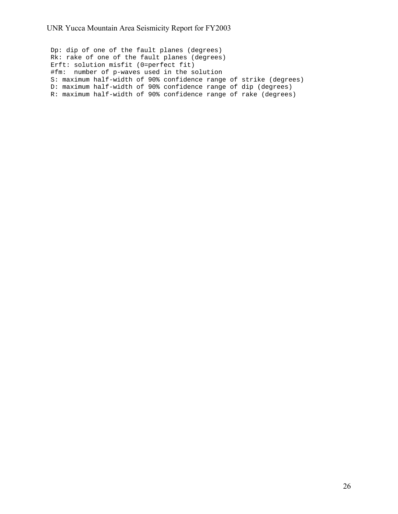Dp: dip of one of the fault planes (degrees) Rk: rake of one of the fault planes (degrees) Erft: solution misfit (0=perfect fit) #fm: number of p-waves used in the solution S: maximum half-width of 90% confidence range of strike (degrees) D: maximum half-width of 90% confidence range of dip (degrees) R: maximum half-width of 90% confidence range of rake (degrees)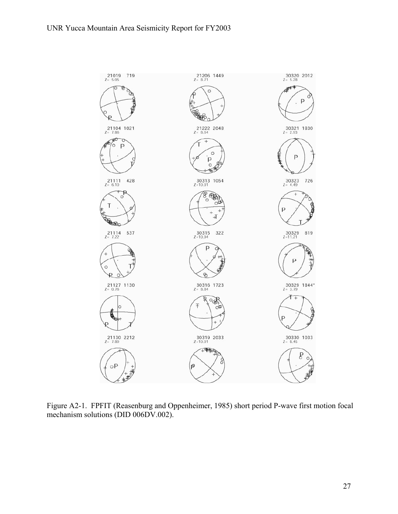

Figure A2-1. FPFIT (Reasenburg and Oppenheimer, 1985) short period P-wave first motion focal mechanism solutions (DID 006DV.002).